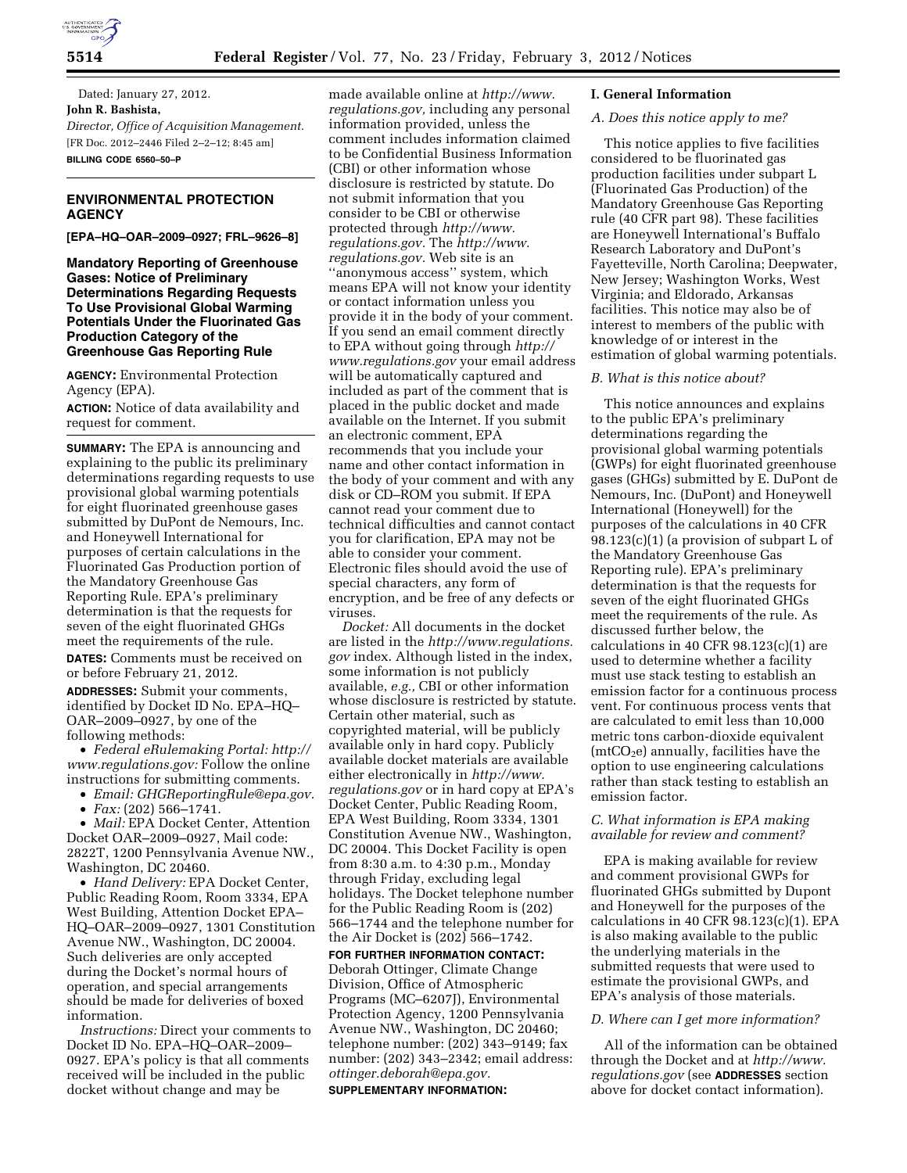

Dated: January 27, 2012. **John R. Bashista,**  *Director, Office of Acquisition Management.*  [FR Doc. 2012–2446 Filed 2–2–12; 8:45 am] **BILLING CODE 6560–50–P** 

# **ENVIRONMENTAL PROTECTION AGENCY**

**[EPA–HQ–OAR–2009–0927; FRL–9626–8]** 

**Mandatory Reporting of Greenhouse Gases: Notice of Preliminary Determinations Regarding Requests To Use Provisional Global Warming Potentials Under the Fluorinated Gas Production Category of the Greenhouse Gas Reporting Rule** 

**AGENCY:** Environmental Protection Agency (EPA).

**ACTION:** Notice of data availability and request for comment.

**SUMMARY:** The EPA is announcing and explaining to the public its preliminary determinations regarding requests to use provisional global warming potentials for eight fluorinated greenhouse gases submitted by DuPont de Nemours, Inc. and Honeywell International for purposes of certain calculations in the Fluorinated Gas Production portion of the Mandatory Greenhouse Gas Reporting Rule. EPA's preliminary determination is that the requests for seven of the eight fluorinated GHGs meet the requirements of the rule.

**DATES:** Comments must be received on or before February 21, 2012.

**ADDRESSES:** Submit your comments, identified by Docket ID No. EPA–HQ– OAR–2009–0927, by one of the following methods:

• *Federal eRulemaking Portal: [http://](http://www.regulations.gov)  [www.regulations.gov:](http://www.regulations.gov)* Follow the online instructions for submitting comments.

• *Email: [GHGReportingRule@epa.gov.](mailto:GHGReportingRule@epa.gov)* 

• *Fax:* (202) 566–1741.

• *Mail:* EPA Docket Center, Attention Docket OAR–2009–0927, Mail code: 2822T, 1200 Pennsylvania Avenue NW., Washington, DC 20460.

• *Hand Delivery:* EPA Docket Center, Public Reading Room, Room 3334, EPA West Building, Attention Docket EPA– HQ–OAR–2009–0927, 1301 Constitution Avenue NW., Washington, DC 20004. Such deliveries are only accepted during the Docket's normal hours of operation, and special arrangements should be made for deliveries of boxed information.

*Instructions:* Direct your comments to Docket ID No. EPA–HQ–OAR–2009– 0927. EPA's policy is that all comments received will be included in the public docket without change and may be

made available online at *[http://www.](http://www.regulations.gov) [regulations.gov,](http://www.regulations.gov)* including any personal information provided, unless the comment includes information claimed to be Confidential Business Information (CBI) or other information whose disclosure is restricted by statute. Do not submit information that you consider to be CBI or otherwise protected through *[http://www.](http://www.regulations.gov) [regulations.gov.](http://www.regulations.gov)* The *[http://www.](http://www.regulations.gov) [regulations.gov.](http://www.regulations.gov)* Web site is an ''anonymous access'' system, which means EPA will not know your identity or contact information unless you provide it in the body of your comment. If you send an email comment directly to EPA without going through *[http://](http://www.regulations.gov) [www.regulations.gov](http://www.regulations.gov)* your email address will be automatically captured and included as part of the comment that is placed in the public docket and made available on the Internet. If you submit an electronic comment, EPA recommends that you include your name and other contact information in the body of your comment and with any disk or CD–ROM you submit. If EPA cannot read your comment due to technical difficulties and cannot contact you for clarification, EPA may not be able to consider your comment. Electronic files should avoid the use of special characters, any form of encryption, and be free of any defects or viruses.

*Docket:* All documents in the docket are listed in the *[http://www.regulations.](http://www.regulations.gov) [gov](http://www.regulations.gov)* index. Although listed in the index, some information is not publicly available, *e.g.,* CBI or other information whose disclosure is restricted by statute. Certain other material, such as copyrighted material, will be publicly available only in hard copy. Publicly available docket materials are available either electronically in *[http://www.](http://www.regulations.gov) [regulations.gov](http://www.regulations.gov)* or in hard copy at EPA's Docket Center, Public Reading Room, EPA West Building, Room 3334, 1301 Constitution Avenue NW., Washington, DC 20004. This Docket Facility is open from 8:30 a.m. to 4:30 p.m., Monday through Friday, excluding legal holidays. The Docket telephone number for the Public Reading Room is (202) 566–1744 and the telephone number for the Air Docket is (202) 566–1742.

**FOR FURTHER INFORMATION CONTACT:**  Deborah Ottinger, Climate Change Division, Office of Atmospheric Programs (MC–6207J), Environmental Protection Agency, 1200 Pennsylvania Avenue NW., Washington, DC 20460; telephone number: (202) 343–9149; fax number: (202) 343–2342; email address: *[ottinger.deborah@epa.gov.](mailto:ottinger.deborah@epa.gov)*  **SUPPLEMENTARY INFORMATION:** 

# **I. General Information**

## *A. Does this notice apply to me?*

This notice applies to five facilities considered to be fluorinated gas production facilities under subpart L (Fluorinated Gas Production) of the Mandatory Greenhouse Gas Reporting rule (40 CFR part 98). These facilities are Honeywell International's Buffalo Research Laboratory and DuPont's Fayetteville, North Carolina; Deepwater, New Jersey; Washington Works, West Virginia; and Eldorado, Arkansas facilities. This notice may also be of interest to members of the public with knowledge of or interest in the estimation of global warming potentials.

## *B. What is this notice about?*

This notice announces and explains to the public EPA's preliminary determinations regarding the provisional global warming potentials (GWPs) for eight fluorinated greenhouse gases (GHGs) submitted by E. DuPont de Nemours, Inc. (DuPont) and Honeywell International (Honeywell) for the purposes of the calculations in 40 CFR 98.123(c)(1) (a provision of subpart L of the Mandatory Greenhouse Gas Reporting rule). EPA's preliminary determination is that the requests for seven of the eight fluorinated GHGs meet the requirements of the rule. As discussed further below, the calculations in 40 CFR  $98.123(c)(1)$  are used to determine whether a facility must use stack testing to establish an emission factor for a continuous process vent. For continuous process vents that are calculated to emit less than 10,000 metric tons carbon-dioxide equivalent  $(mtCO<sub>2</sub>e)$  annually, facilities have the option to use engineering calculations rather than stack testing to establish an emission factor.

# *C. What information is EPA making available for review and comment?*

EPA is making available for review and comment provisional GWPs for fluorinated GHGs submitted by Dupont and Honeywell for the purposes of the calculations in 40 CFR  $98.123(c)(1)$ . EPA is also making available to the public the underlying materials in the submitted requests that were used to estimate the provisional GWPs, and EPA's analysis of those materials.

## *D. Where can I get more information?*

All of the information can be obtained through the Docket and at *[http://www.](http://www.regulations.gov) [regulations.gov](http://www.regulations.gov)* (see **ADDRESSES** section above for docket contact information).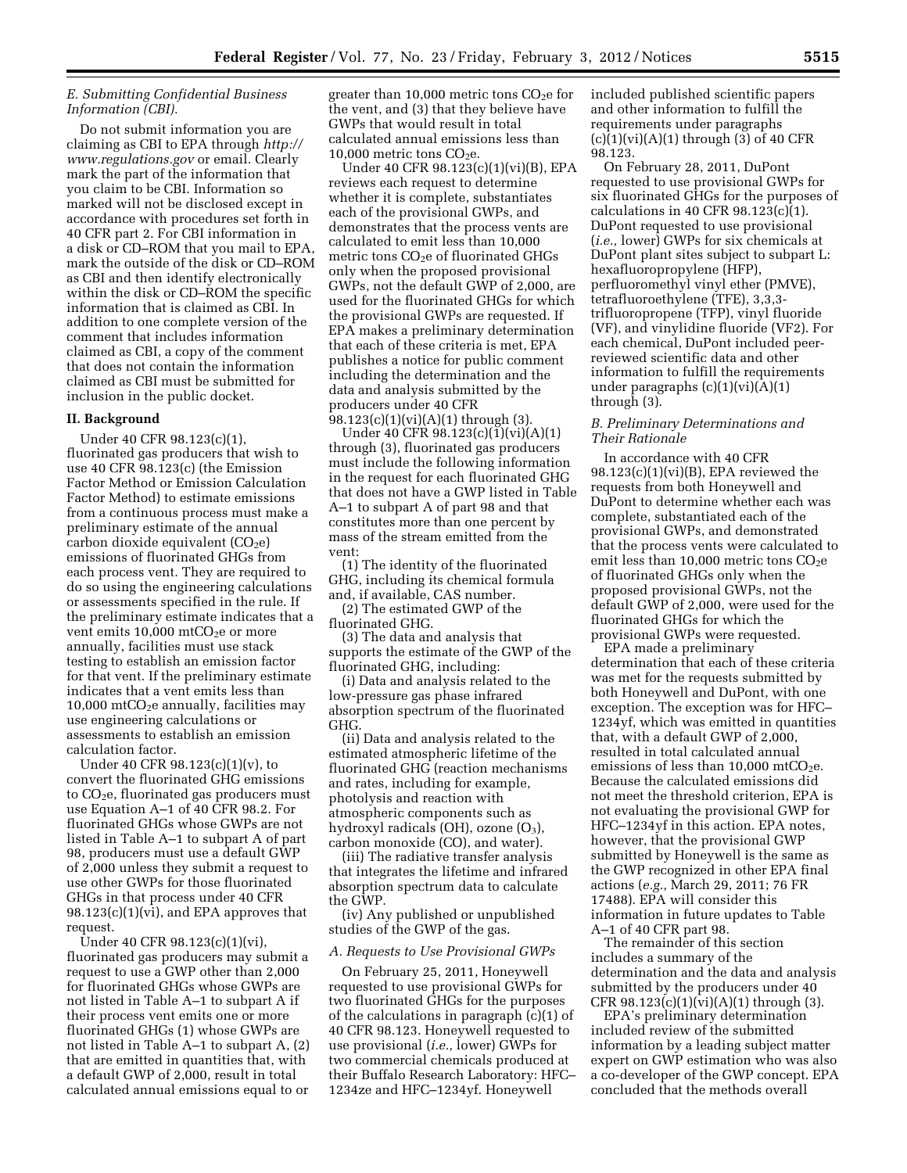# *E. Submitting Confidential Business Information (CBI).*

Do not submit information you are claiming as CBI to EPA through *[http://](http://www.regulations.gov) [www.regulations.gov](http://www.regulations.gov)* or email. Clearly mark the part of the information that you claim to be CBI. Information so marked will not be disclosed except in accordance with procedures set forth in 40 CFR part 2. For CBI information in a disk or CD–ROM that you mail to EPA, mark the outside of the disk or CD–ROM as CBI and then identify electronically within the disk or CD–ROM the specific information that is claimed as CBI. In addition to one complete version of the comment that includes information claimed as CBI, a copy of the comment that does not contain the information claimed as CBI must be submitted for inclusion in the public docket.

#### **II. Background**

Under 40 CFR 98.123(c)(1), fluorinated gas producers that wish to use 40 CFR 98.123(c) (the Emission Factor Method or Emission Calculation Factor Method) to estimate emissions from a continuous process must make a preliminary estimate of the annual carbon dioxide equivalent  $(CO<sub>2</sub>e)$ emissions of fluorinated GHGs from each process vent. They are required to do so using the engineering calculations or assessments specified in the rule. If the preliminary estimate indicates that a vent emits  $10,000$  mtCO<sub>2</sub>e or more annually, facilities must use stack testing to establish an emission factor for that vent. If the preliminary estimate indicates that a vent emits less than 10,000 mtCO<sub>2</sub>e annually, facilities may use engineering calculations or assessments to establish an emission calculation factor.

Under 40 CFR 98.123(c)(1)(v), to convert the fluorinated GHG emissions to  $CO<sub>2</sub>e$ , fluorinated gas producers must use Equation A–1 of 40 CFR 98.2. For fluorinated GHGs whose GWPs are not listed in Table A–1 to subpart A of part 98, producers must use a default GWP of 2,000 unless they submit a request to use other GWPs for those fluorinated GHGs in that process under 40 CFR 98.123(c)(1)(vi), and EPA approves that request.

Under 40 CFR 98.123(c)(1)(vi), fluorinated gas producers may submit a request to use a GWP other than 2,000 for fluorinated GHGs whose GWPs are not listed in Table A–1 to subpart A if their process vent emits one or more fluorinated GHGs (1) whose GWPs are not listed in Table A–1 to subpart A, (2) that are emitted in quantities that, with a default GWP of 2,000, result in total calculated annual emissions equal to or

greater than  $10,000$  metric tons  $CO<sub>2</sub>e$  for the vent, and (3) that they believe have GWPs that would result in total calculated annual emissions less than 10,000 metric tons  $CO<sub>2</sub>e$ .

Under 40 CFR 98.123(c)(1)(vi)(B), EPA reviews each request to determine whether it is complete, substantiates each of the provisional GWPs, and demonstrates that the process vents are calculated to emit less than 10,000 metric tons  $CO<sub>2</sub>e$  of fluorinated GHGs only when the proposed provisional GWPs, not the default GWP of 2,000, are used for the fluorinated GHGs for which the provisional GWPs are requested. If EPA makes a preliminary determination that each of these criteria is met, EPA publishes a notice for public comment including the determination and the data and analysis submitted by the producers under 40 CFR 98.123(c)(1)(vi)(A)(1) through (3).

Under 40 CFR 98.123(c)(1)(vi)(A)(1) through (3), fluorinated gas producers must include the following information in the request for each fluorinated GHG that does not have a GWP listed in Table A–1 to subpart A of part 98 and that constitutes more than one percent by mass of the stream emitted from the vent:

(1) The identity of the fluorinated GHG, including its chemical formula and, if available, CAS number.

(2) The estimated GWP of the fluorinated GHG.

(3) The data and analysis that supports the estimate of the GWP of the fluorinated GHG, including:

(i) Data and analysis related to the low-pressure gas phase infrared absorption spectrum of the fluorinated GHG.

(ii) Data and analysis related to the estimated atmospheric lifetime of the fluorinated GHG (reaction mechanisms and rates, including for example, photolysis and reaction with atmospheric components such as hydroxyl radicals (OH), ozone  $(O_3)$ , carbon monoxide (CO), and water).

(iii) The radiative transfer analysis that integrates the lifetime and infrared absorption spectrum data to calculate the GWP.

(iv) Any published or unpublished studies of the GWP of the gas.

#### *A. Requests to Use Provisional GWPs*

On February 25, 2011, Honeywell requested to use provisional GWPs for two fluorinated GHGs for the purposes of the calculations in paragraph (c)(1) of 40 CFR 98.123. Honeywell requested to use provisional (*i.e.,* lower) GWPs for two commercial chemicals produced at their Buffalo Research Laboratory: HFC– 1234ze and HFC–1234yf. Honeywell

included published scientific papers and other information to fulfill the requirements under paragraphs  $(c)(1)(vi)(A)(1)$  through (3) of 40 CFR 98.123.

On February 28, 2011, DuPont requested to use provisional GWPs for six fluorinated GHGs for the purposes of calculations in 40 CFR 98.123(c)(1). DuPont requested to use provisional (*i.e.,* lower) GWPs for six chemicals at DuPont plant sites subject to subpart L: hexafluoropropylene (HFP), perfluoromethyl vinyl ether (PMVE), tetrafluoroethylene (TFE), 3,3,3 trifluoropropene (TFP), vinyl fluoride (VF), and vinylidine fluoride (VF2). For each chemical, DuPont included peerreviewed scientific data and other information to fulfill the requirements under paragraphs  $(c)(1)(vi)(A)(1)$ through (3).

## *B. Preliminary Determinations and Their Rationale*

In accordance with 40 CFR 98.123(c)(1)(vi)(B), EPA reviewed the requests from both Honeywell and DuPont to determine whether each was complete, substantiated each of the provisional GWPs, and demonstrated that the process vents were calculated to emit less than 10,000 metric tons  $CO<sub>2</sub>e$ of fluorinated GHGs only when the proposed provisional GWPs, not the default GWP of 2,000, were used for the fluorinated GHGs for which the provisional GWPs were requested.

EPA made a preliminary determination that each of these criteria was met for the requests submitted by both Honeywell and DuPont, with one exception. The exception was for HFC– 1234yf, which was emitted in quantities that, with a default GWP of 2,000, resulted in total calculated annual emissions of less than  $10,000$  mtCO<sub>2</sub>e. Because the calculated emissions did not meet the threshold criterion, EPA is not evaluating the provisional GWP for HFC–1234yf in this action. EPA notes, however, that the provisional GWP submitted by Honeywell is the same as the GWP recognized in other EPA final actions (*e.g.,* March 29, 2011; 76 FR 17488). EPA will consider this information in future updates to Table A–1 of 40 CFR part 98.

The remainder of this section includes a summary of the determination and the data and analysis submitted by the producers under 40 CFR  $98.123(c)(1)(vi)(A)(1)$  through (3).

EPA's preliminary determination included review of the submitted information by a leading subject matter expert on GWP estimation who was also a co-developer of the GWP concept. EPA concluded that the methods overall